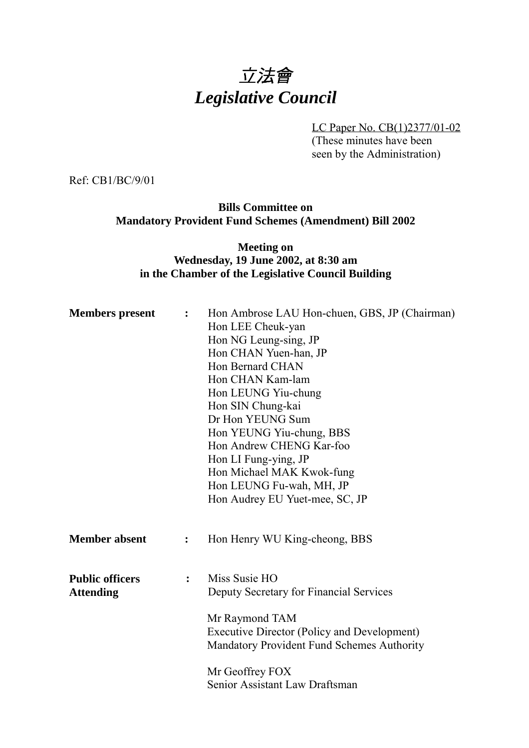# 立法會 *Legislative Council*

LC Paper No. CB(1)2377/01-02 (These minutes have been seen by the Administration)

Ref: CB1/BC/9/01

#### **Bills Committee on Mandatory Provident Fund Schemes (Amendment) Bill 2002**

#### **Meeting on Wednesday, 19 June 2002, at 8:30 am in the Chamber of the Legislative Council Building**

| <b>Members</b> present                     | $\ddot{\cdot}$ | Hon Ambrose LAU Hon-chuen, GBS, JP (Chairman)<br>Hon LEE Cheuk-yan<br>Hon NG Leung-sing, JP<br>Hon CHAN Yuen-han, JP<br>Hon Bernard CHAN<br>Hon CHAN Kam-lam<br>Hon LEUNG Yiu-chung<br>Hon SIN Chung-kai<br>Dr Hon YEUNG Sum<br>Hon YEUNG Yiu-chung, BBS<br>Hon Andrew CHENG Kar-foo<br>Hon LI Fung-ying, JP<br>Hon Michael MAK Kwok-fung<br>Hon LEUNG Fu-wah, MH, JP<br>Hon Audrey EU Yuet-mee, SC, JP |
|--------------------------------------------|----------------|---------------------------------------------------------------------------------------------------------------------------------------------------------------------------------------------------------------------------------------------------------------------------------------------------------------------------------------------------------------------------------------------------------|
| <b>Member absent</b>                       | $\ddot{\cdot}$ | Hon Henry WU King-cheong, BBS                                                                                                                                                                                                                                                                                                                                                                           |
| <b>Public officers</b><br><b>Attending</b> | $\ddot{\cdot}$ | Miss Susie HO<br>Deputy Secretary for Financial Services<br>Mr Raymond TAM<br><b>Executive Director (Policy and Development)</b><br>Mandatory Provident Fund Schemes Authority<br>Mr Geoffrey FOX<br>Senior Assistant Law Draftsman                                                                                                                                                                     |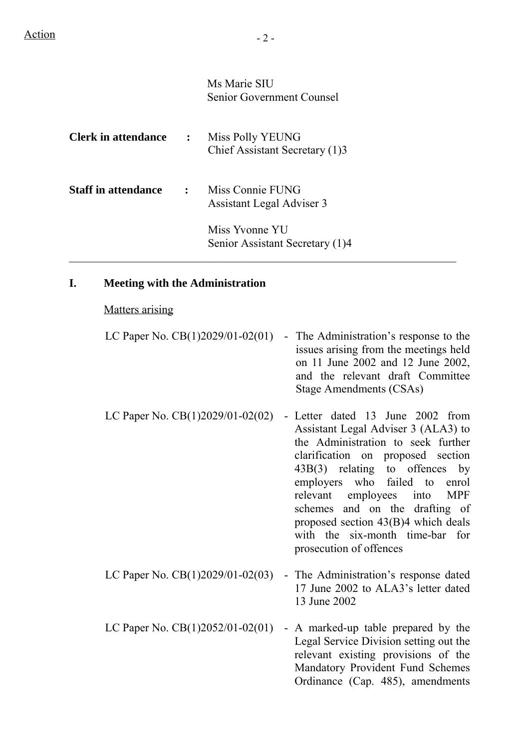Ms Marie SIU Senior Government Counsel

| <b>Clerk in attendance</b> | $\ddot{\cdot}$ | Miss Polly YEUNG<br>Chief Assistant Secretary (1)3 |
|----------------------------|----------------|----------------------------------------------------|
| <b>Staff in attendance</b> | $\ddot{\cdot}$ | Miss Connie FUNG<br>Assistant Legal Adviser 3      |
|                            |                | Miss Yvonne YU<br>Senior Assistant Secretary (1)4  |

#### **I. Meeting with the Administration**

#### Matters arising

| LC Paper No. $CB(1)2029/01-02(01)$ | - The Administration's response to the |
|------------------------------------|----------------------------------------|
|                                    | issues arising from the meetings held  |
|                                    | on 11 June 2002 and 12 June 2002,      |
|                                    | and the relevant draft Committee       |
|                                    | Stage Amendments (CSAs)                |
|                                    |                                        |

- LC Paper No. CB(1)2029/01-02(02) Letter dated 13 June 2002 from Assistant Legal Adviser 3 (ALA3) to the Administration to seek further clarification on proposed section 43B(3) relating to offences by employers who failed to enrol relevant employees into MPF schemes and on the drafting of proposed section 43(B)4 which deals with the six-month time-bar for prosecution of offences
- LC Paper No. CB(1)2029/01-02(03) The Administration's response dated 17 June 2002 to ALA3's letter dated 13 June 2002
- LC Paper No.  $CB(1)2052/01-02(01)$  A marked-up table prepared by the Legal Service Division setting out the relevant existing provisions of the Mandatory Provident Fund Schemes Ordinance (Cap. 485), amendments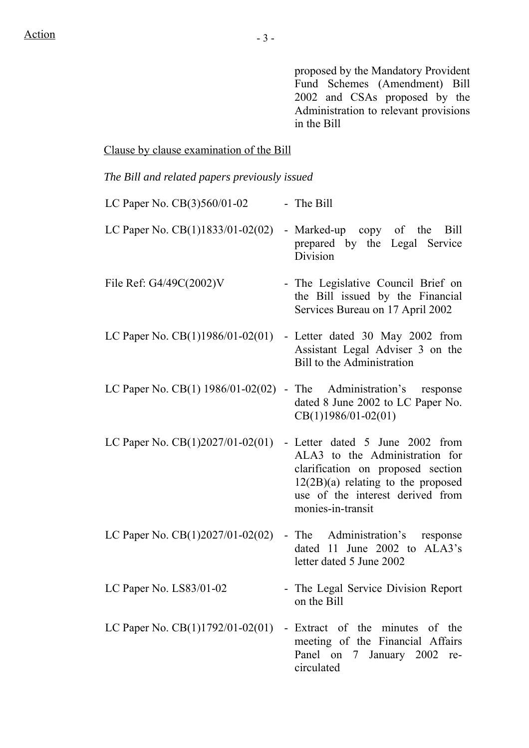proposed by the Mandatory Provident Fund Schemes (Amendment) Bill 2002 and CSAs proposed by the Administration to relevant provisions in the Bill

# Clause by clause examination of the Bill

*The Bill and related papers previously issued*

| LC Paper No. CB(3)560/01-02        | - The Bill                                                                                                                                                                                              |
|------------------------------------|---------------------------------------------------------------------------------------------------------------------------------------------------------------------------------------------------------|
| LC Paper No. $CB(1)1833/01-02(02)$ | - Marked-up copy of the Bill<br>prepared by the Legal Service<br>Division                                                                                                                               |
| File Ref: G4/49C(2002)V            | - The Legislative Council Brief on<br>the Bill issued by the Financial<br>Services Bureau on 17 April 2002                                                                                              |
| LC Paper No. $CB(1)1986/01-02(01)$ | - Letter dated 30 May 2002 from<br>Assistant Legal Adviser 3 on the<br><b>Bill to the Administration</b>                                                                                                |
|                                    | LC Paper No. $CB(1)$ 1986/01-02(02) - The Administration's response<br>dated 8 June 2002 to LC Paper No.<br>$CB(1)1986/01-02(01)$                                                                       |
| LC Paper No. $CB(1)2027/01-02(01)$ | - Letter dated 5 June 2002 from<br>ALA3 to the Administration for<br>clarification on proposed section<br>$12(2B)(a)$ relating to the proposed<br>use of the interest derived from<br>monies-in-transit |
| LC Paper No. $CB(1)2027/01-02(02)$ | Administration's response<br>- The<br>dated 11 June 2002 to ALA3's<br>letter dated 5 June 2002                                                                                                          |
| LC Paper No. LS83/01-02            | - The Legal Service Division Report<br>on the Bill                                                                                                                                                      |
|                                    | LC Paper No. $CB(1)1792/01-02(01)$ - Extract of the minutes of the<br>meeting of the Financial Affairs<br>Panel on 7 January 2002 re-<br>circulated                                                     |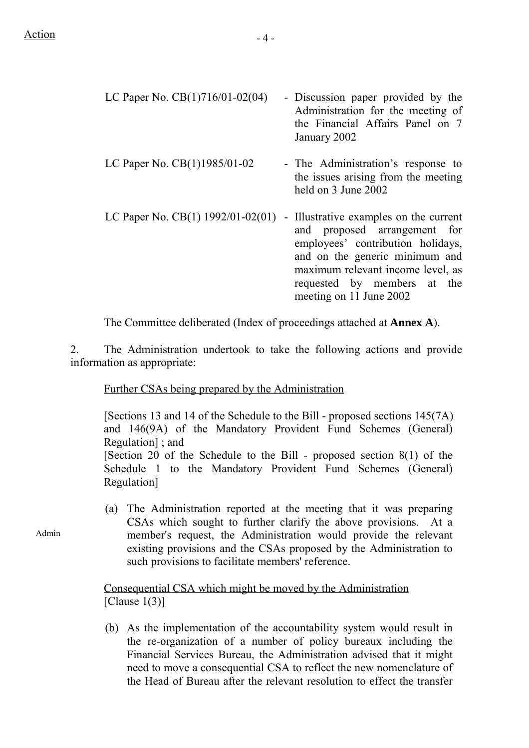| LC Paper No. $CB(1)716/01-02(04)$                                             | - Discussion paper provided by the<br>Administration for the meeting of<br>the Financial Affairs Panel on 7<br>January 2002                                                                                                                  |
|-------------------------------------------------------------------------------|----------------------------------------------------------------------------------------------------------------------------------------------------------------------------------------------------------------------------------------------|
| LC Paper No. CB(1)1985/01-02                                                  | - The Administration's response to<br>the issues arising from the meeting<br>held on 3 June 2002                                                                                                                                             |
| LC Paper No. CB(1) $1992/01 - 02(01)$                                         | - Illustrative examples on the current<br>and proposed arrangement for<br>employees' contribution holidays,<br>and on the generic minimum and<br>maximum relevant income level, as<br>requested by members at the<br>meeting on 11 June 2002 |
| The Committee deliberated (Index of proceedings attached at <b>Annex A</b> ). |                                                                                                                                                                                                                                              |

2. The Administration undertook to take the following actions and provide information as appropriate:

Further CSAs being prepared by the Administration

[Sections 13 and 14 of the Schedule to the Bill - proposed sections 145(7A) and 146(9A) of the Mandatory Provident Fund Schemes (General) Regulation] ; and [Section 20 of the Schedule to the Bill - proposed section  $8(1)$  of the Schedule 1 to the Mandatory Provident Fund Schemes (General) Regulation]

(a) The Administration reported at the meeting that it was preparing CSAs which sought to further clarify the above provisions. At a member's request, the Administration would provide the relevant existing provisions and the CSAs proposed by the Administration to such provisions to facilitate members' reference.

### Consequential CSA which might be moved by the Administration [Clause  $1(3)$ ]

(b) As the implementation of the accountability system would result in the re-organization of a number of policy bureaux including the Financial Services Bureau, the Administration advised that it might need to move a consequential CSA to reflect the new nomenclature of the Head of Bureau after the relevant resolution to effect the transfer

Admin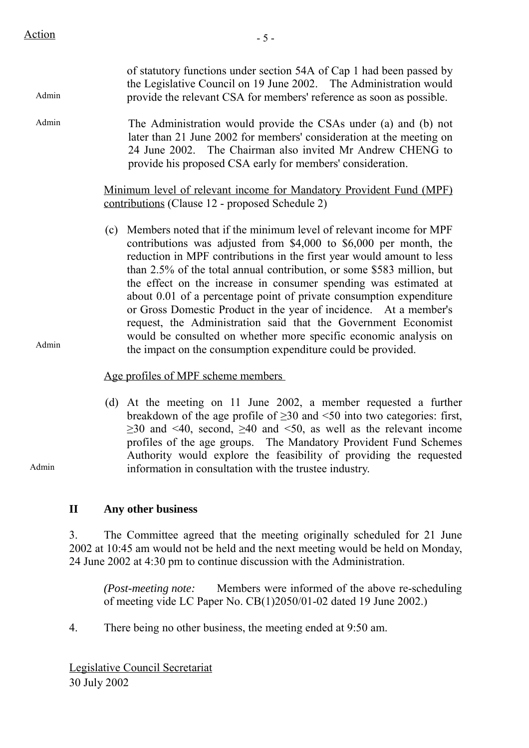$Action$   $-5$  -

| Admin |              | of statutory functions under section 54A of Cap 1 had been passed by<br>the Legislative Council on 19 June 2002. The Administration would<br>provide the relevant CSA for members' reference as soon as possible.                                                                                                                                                                                                                                                                                                                                                                                                                                                                                                       |
|-------|--------------|-------------------------------------------------------------------------------------------------------------------------------------------------------------------------------------------------------------------------------------------------------------------------------------------------------------------------------------------------------------------------------------------------------------------------------------------------------------------------------------------------------------------------------------------------------------------------------------------------------------------------------------------------------------------------------------------------------------------------|
| Admin |              | The Administration would provide the CSAs under (a) and (b) not<br>later than 21 June 2002 for members' consideration at the meeting on<br>24 June 2002. The Chairman also invited Mr Andrew CHENG to<br>provide his proposed CSA early for members' consideration.                                                                                                                                                                                                                                                                                                                                                                                                                                                     |
|       |              | Minimum level of relevant income for Mandatory Provident Fund (MPF)<br>contributions (Clause 12 - proposed Schedule 2)                                                                                                                                                                                                                                                                                                                                                                                                                                                                                                                                                                                                  |
| Admin |              | Members noted that if the minimum level of relevant income for MPF<br>(c)<br>contributions was adjusted from \$4,000 to \$6,000 per month, the<br>reduction in MPF contributions in the first year would amount to less<br>than 2.5% of the total annual contribution, or some \$583 million, but<br>the effect on the increase in consumer spending was estimated at<br>about 0.01 of a percentage point of private consumption expenditure<br>or Gross Domestic Product in the year of incidence. At a member's<br>request, the Administration said that the Government Economist<br>would be consulted on whether more specific economic analysis on<br>the impact on the consumption expenditure could be provided. |
|       |              | Age profiles of MPF scheme members                                                                                                                                                                                                                                                                                                                                                                                                                                                                                                                                                                                                                                                                                      |
| Admin |              | (d) At the meeting on 11 June 2002, a member requested a further<br>breakdown of the age profile of $\geq$ 30 and <50 into two categories: first,<br>$\geq$ 30 and <40, second, $\geq$ 40 and <50, as well as the relevant income<br>profiles of the age groups. The Mandatory Provident Fund Schemes<br>Authority would explore the feasibility of providing the requested<br>information in consultation with the trustee industry.                                                                                                                                                                                                                                                                                   |
|       | $\mathbf{I}$ | Any other business                                                                                                                                                                                                                                                                                                                                                                                                                                                                                                                                                                                                                                                                                                      |
|       | 3.           | The Committee agreed that the meeting originally scheduled for 21 June<br>2002 at 10:45 am would not be held and the next meeting would be held on Monday,                                                                                                                                                                                                                                                                                                                                                                                                                                                                                                                                                              |

24 June 2002 at 4:30 pm to continue discussion with the Administration.

*(Post-meeting note:* Members were informed of the above re-scheduling of meeting vide LC Paper No. CB(1)2050/01-02 dated 19 June 2002.)

4. There being no other business, the meeting ended at 9:50 am.

Legislative Council Secretariat 30 July 2002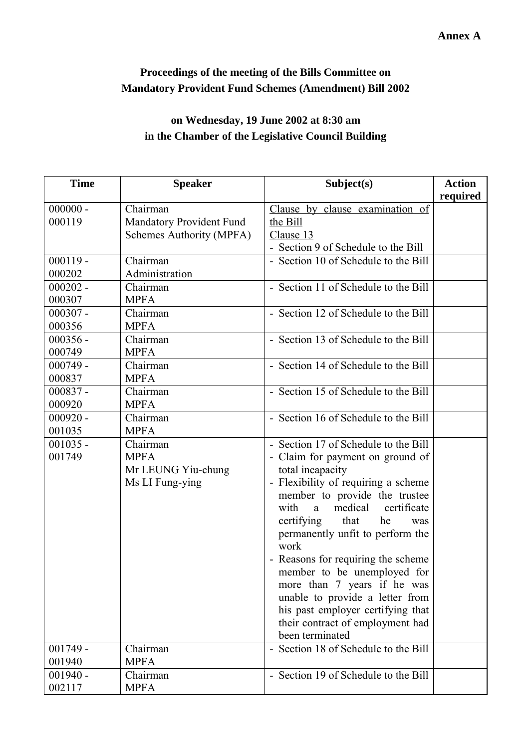## **Proceedings of the meeting of the Bills Committee on Mandatory Provident Fund Schemes (Amendment) Bill 2002**

# **on Wednesday, 19 June 2002 at 8:30 am in the Chamber of the Legislative Council Building**

| <b>Time</b>          | <b>Speaker</b>                                                   | Subject(s)                                                                                                                                                                                                                                                                                                                                                                                                                                                                                                                    | <b>Action</b><br>required |
|----------------------|------------------------------------------------------------------|-------------------------------------------------------------------------------------------------------------------------------------------------------------------------------------------------------------------------------------------------------------------------------------------------------------------------------------------------------------------------------------------------------------------------------------------------------------------------------------------------------------------------------|---------------------------|
| $000000 -$<br>000119 | Chairman<br>Mandatory Provident Fund<br>Schemes Authority (MPFA) | Clause by clause examination of<br>the Bill<br>Clause 13<br>- Section 9 of Schedule to the Bill                                                                                                                                                                                                                                                                                                                                                                                                                               |                           |
| $000119 -$<br>000202 | Chairman<br>Administration                                       | - Section 10 of Schedule to the Bill                                                                                                                                                                                                                                                                                                                                                                                                                                                                                          |                           |
| $000202 -$<br>000307 | Chairman<br><b>MPFA</b>                                          | - Section 11 of Schedule to the Bill                                                                                                                                                                                                                                                                                                                                                                                                                                                                                          |                           |
| $000307 -$<br>000356 | Chairman<br><b>MPFA</b>                                          | - Section 12 of Schedule to the Bill                                                                                                                                                                                                                                                                                                                                                                                                                                                                                          |                           |
| $000356 -$<br>000749 | Chairman<br><b>MPFA</b>                                          | - Section 13 of Schedule to the Bill                                                                                                                                                                                                                                                                                                                                                                                                                                                                                          |                           |
| $000749 -$<br>000837 | Chairman<br><b>MPFA</b>                                          | - Section 14 of Schedule to the Bill                                                                                                                                                                                                                                                                                                                                                                                                                                                                                          |                           |
| $000837 -$<br>000920 | Chairman<br><b>MPFA</b>                                          | - Section 15 of Schedule to the Bill                                                                                                                                                                                                                                                                                                                                                                                                                                                                                          |                           |
| $000920 -$<br>001035 | Chairman<br><b>MPFA</b>                                          | - Section 16 of Schedule to the Bill                                                                                                                                                                                                                                                                                                                                                                                                                                                                                          |                           |
| $001035 -$<br>001749 | Chairman<br><b>MPFA</b><br>Mr LEUNG Yiu-chung<br>Ms LI Fung-ying | - Section 17 of Schedule to the Bill<br>- Claim for payment on ground of<br>total incapacity<br>- Flexibility of requiring a scheme<br>member to provide the trustee<br>with<br>medical<br>certificate<br>a<br>certifying<br>that<br>he<br>was<br>permanently unfit to perform the<br>work<br>- Reasons for requiring the scheme<br>member to be unemployed for<br>more than 7 years if he was<br>unable to provide a letter from<br>his past employer certifying that<br>their contract of employment had<br>been terminated |                           |
| $001749 -$<br>001940 | Chairman<br><b>MPFA</b>                                          | - Section 18 of Schedule to the Bill                                                                                                                                                                                                                                                                                                                                                                                                                                                                                          |                           |
| $001940 -$<br>002117 | Chairman<br><b>MPFA</b>                                          | - Section 19 of Schedule to the Bill                                                                                                                                                                                                                                                                                                                                                                                                                                                                                          |                           |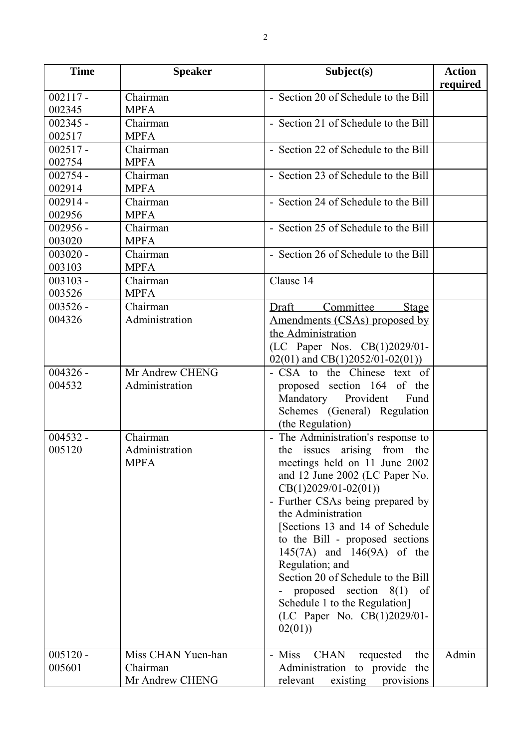| <b>Time</b> | <b>Speaker</b>                 | Subject(s)                                | <b>Action</b> |
|-------------|--------------------------------|-------------------------------------------|---------------|
|             |                                |                                           | required      |
| $002117 -$  | $\overline{\text{Chairman}}$   | - Section 20 of Schedule to the Bill      |               |
| 002345      | <b>MPFA</b>                    |                                           |               |
| $002345 -$  | Chairman                       | - Section 21 of Schedule to the Bill      |               |
| 002517      | <b>MPFA</b>                    |                                           |               |
| $002517 -$  | Chairman                       | - Section 22 of Schedule to the Bill      |               |
| 002754      | <b>MPFA</b>                    |                                           |               |
| $002754 -$  | Chairman                       | - Section 23 of Schedule to the Bill      |               |
| 002914      | <b>MPFA</b>                    |                                           |               |
| $002914 -$  | Chairman                       | - Section 24 of Schedule to the Bill      |               |
| 002956      | <b>MPFA</b>                    |                                           |               |
| $002956 -$  | $\overline{\text{Chairman}}$   | - Section 25 of Schedule to the Bill      |               |
| 003020      | <b>MPFA</b>                    |                                           |               |
| $003020 -$  | Chairman                       | - Section 26 of Schedule to the Bill      |               |
| 003103      | <b>MPFA</b>                    |                                           |               |
| $003103 -$  | Chairman                       | Clause 14                                 |               |
| 003526      | <b>MPFA</b>                    |                                           |               |
| $003526 -$  | Chairman                       | Committee<br>Draft<br><b>Stage</b>        |               |
| 004326      | Administration                 | Amendments (CSAs) proposed by             |               |
|             |                                | the Administration                        |               |
|             |                                | (LC Paper Nos. CB(1)2029/01-              |               |
|             |                                | $02(01)$ and CB(1)2052/01-02(01))         |               |
| $004326 -$  | Mr Andrew CHENG                | - CSA to the Chinese text of              |               |
| 004532      | Administration                 | proposed section 164 of the               |               |
|             |                                | Mandatory Provident<br>Fund               |               |
|             |                                | Schemes (General) Regulation              |               |
|             |                                | (the Regulation)                          |               |
| $004532 -$  | Chairman                       | - The Administration's response to        |               |
| 005120      | Administration                 | the issues arising from the               |               |
|             | <b>MPFA</b>                    | meetings held on 11 June 2002             |               |
|             |                                | and 12 June 2002 (LC Paper No.            |               |
|             |                                | $CB(1)2029/01-02(01))$                    |               |
|             |                                | - Further CSAs being prepared by          |               |
|             |                                | the Administration                        |               |
|             |                                | [Sections 13 and 14 of Schedule]          |               |
|             |                                | to the Bill - proposed sections           |               |
|             |                                | 145(7A) and 146(9A) of the                |               |
|             |                                | Regulation; and                           |               |
|             |                                | Section 20 of Schedule to the Bill        |               |
|             |                                | proposed section $8(1)$<br>of             |               |
|             |                                | Schedule 1 to the Regulation]             |               |
|             |                                | (LC Paper No. CB(1)2029/01-               |               |
|             |                                | 02(01)                                    |               |
|             |                                |                                           |               |
| $005120 -$  | Miss CHAN Yuen-han<br>Chairman | <b>CHAN</b><br>- Miss<br>requested<br>the | Admin         |
| 005601      |                                | Administration to provide the             |               |
|             | Mr Andrew CHENG                | relevant<br>existing provisions           |               |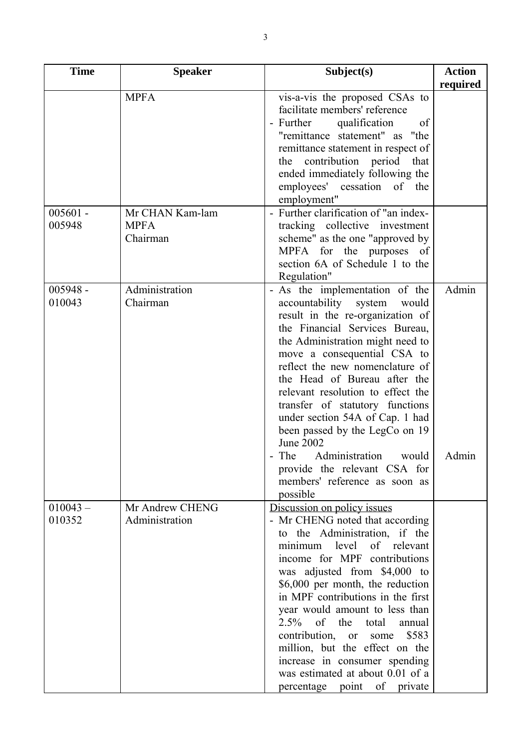| <b>Time</b>          | <b>Speaker</b>                             | Subject(s)                                                                                                                                                                                                                                                                                                                                                                                                                                                                                                                                  | <b>Action</b>  |
|----------------------|--------------------------------------------|---------------------------------------------------------------------------------------------------------------------------------------------------------------------------------------------------------------------------------------------------------------------------------------------------------------------------------------------------------------------------------------------------------------------------------------------------------------------------------------------------------------------------------------------|----------------|
|                      |                                            |                                                                                                                                                                                                                                                                                                                                                                                                                                                                                                                                             | required       |
|                      | <b>MPFA</b>                                | vis-a-vis the proposed CSAs to<br>facilitate members' reference<br>- Further<br>qualification<br>of<br>"remittance statement" as "the<br>remittance statement in respect of<br>contribution period<br>the<br>that<br>ended immediately following the<br>employees' cessation of the<br>employment"                                                                                                                                                                                                                                          |                |
| $005601 -$<br>005948 | Mr CHAN Kam-lam<br><b>MPFA</b><br>Chairman | - Further clarification of "an index-<br>tracking collective investment<br>scheme" as the one "approved by<br><b>MPFA</b><br>for the purposes of<br>section 6A of Schedule 1 to the<br>Regulation"                                                                                                                                                                                                                                                                                                                                          |                |
| $005948 -$<br>010043 | Administration<br>Chairman                 | - As the implementation of the<br>accountability system<br>would<br>result in the re-organization of<br>the Financial Services Bureau,<br>the Administration might need to<br>move a consequential CSA to<br>reflect the new nomenclature of<br>the Head of Bureau after the<br>relevant resolution to effect the<br>transfer of statutory functions<br>under section 54A of Cap. 1 had<br>been passed by the LegCo on 19<br>June 2002<br>- The<br>Administration<br>would<br>provide the relevant CSA for<br>members' reference as soon as | Admin<br>Admin |
| $010043 -$<br>010352 | Mr Andrew CHENG<br>Administration          | possible<br>Discussion on policy issues<br>- Mr CHENG noted that according<br>to the Administration, if the<br>minimum level of relevant<br>income for MPF contributions<br>was adjusted from \$4,000 to<br>\$6,000 per month, the reduction<br>in MPF contributions in the first<br>year would amount to less than<br>of<br>the<br>$2.5\%$<br>total<br>annual<br>contribution, or<br>\$583<br>some<br>million, but the effect on the<br>increase in consumer spending<br>was estimated at about 0.01 of a<br>percentage point of private   |                |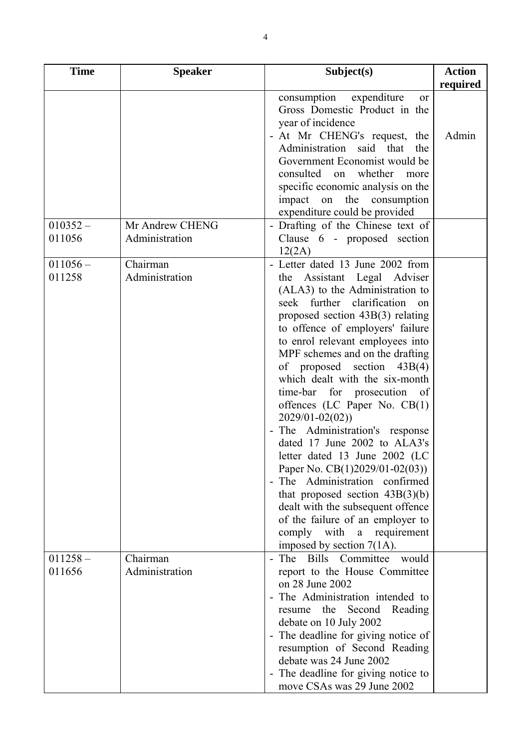| <b>Time</b>          | <b>Speaker</b>             | Subject(s)                                                                                                                                                                                                                                                                                                                                                                                                                                                                                                                                                                                                                                                                                                                                                                                                              | <b>Action</b> |
|----------------------|----------------------------|-------------------------------------------------------------------------------------------------------------------------------------------------------------------------------------------------------------------------------------------------------------------------------------------------------------------------------------------------------------------------------------------------------------------------------------------------------------------------------------------------------------------------------------------------------------------------------------------------------------------------------------------------------------------------------------------------------------------------------------------------------------------------------------------------------------------------|---------------|
|                      |                            |                                                                                                                                                                                                                                                                                                                                                                                                                                                                                                                                                                                                                                                                                                                                                                                                                         | required      |
| $010352 -$           | Mr Andrew CHENG            | expenditure<br>consumption<br>or<br>Gross Domestic Product in the<br>year of incidence<br>- At Mr CHENG's request, the<br>Administration<br>said that<br>the<br>Government Economist would be<br>consulted on whether<br>more<br>specific economic analysis on the<br>impact on the consumption<br>expenditure could be provided<br>- Drafting of the Chinese text of                                                                                                                                                                                                                                                                                                                                                                                                                                                   | Admin         |
| 011056               | Administration             | Clause 6 - proposed section                                                                                                                                                                                                                                                                                                                                                                                                                                                                                                                                                                                                                                                                                                                                                                                             |               |
| $011056-$<br>011258  | Chairman<br>Administration | 12(2A)<br>- Letter dated 13 June 2002 from<br>Assistant Legal Adviser<br>the<br>(ALA3) to the Administration to<br>seek further clarification<br>$_{\rm on}$<br>proposed section 43B(3) relating<br>to offence of employers' failure<br>to enrol relevant employees into<br>MPF schemes and on the drafting<br>of proposed section $43B(4)$<br>which dealt with the six-month<br>time-bar for prosecution of<br>offences (LC Paper No. $CB(1)$<br>$2029/01 - 02(02)$<br>- The Administration's response<br>dated 17 June 2002 to ALA3's<br>letter dated 13 June 2002 (LC<br>Paper No. CB(1)2029/01-02(03))<br>- The Administration confirmed<br>that proposed section $43B(3)(b)$<br>dealt with the subsequent offence<br>of the failure of an employer to<br>comply with a requirement<br>imposed by section $7(1A)$ . |               |
| $011258 -$<br>011656 | Chairman<br>Administration | - The Bills<br>Committee<br>would<br>report to the House Committee<br>on 28 June 2002<br>- The Administration intended to<br>Second<br>Reading<br>the<br>resume<br>debate on 10 July 2002<br>- The deadline for giving notice of<br>resumption of Second Reading<br>debate was 24 June 2002<br>- The deadline for giving notice to<br>move CSAs was 29 June 2002                                                                                                                                                                                                                                                                                                                                                                                                                                                        |               |